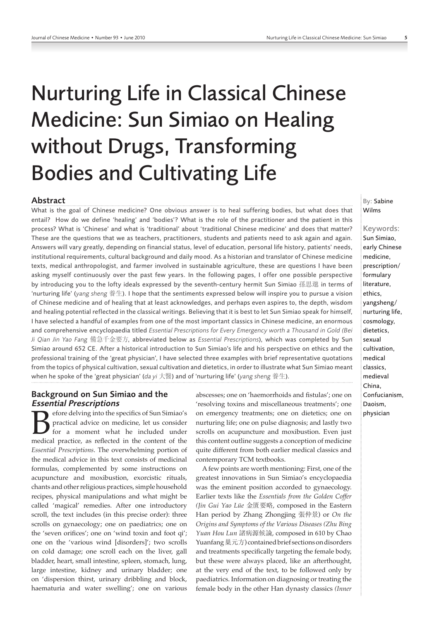# Nurturing Life in Classical Chinese Medicine: Sun Simiao on Healing without Drugs, Transforming Bodies and Cultivating Life

#### Abstract

What is the goal of Chinese medicine? One obvious answer is to heal suffering bodies, but what does that entail? How do we define 'healing' and 'bodies'? What is the role of the practitioner and the patient in this process? What is 'Chinese' and what is 'traditional' about 'traditional Chinese medicine' and does that matter? These are the questions that we as teachers, practitioners, students and patients need to ask again and again. Answers will vary greatly, depending on financial status, level of education, personal life history, patients' needs, institutional requirements, cultural background and daily mood. As a historian and translator of Chinese medicine texts, medical anthropologist, and farmer involved in sustainable agriculture, these are questions I have been asking myself continuously over the past few years. In the following pages, I offer one possible perspective by introducing you to the lofty ideals expressed by the seventh-century hermit Sun Simiao 孫思邈 in terms of 'nurturing life' (*yang sheng* 養生). I hope that the sentiments expressed below will inspire you to pursue a vision of Chinese medicine and of healing that at least acknowledges, and perhaps even aspires to, the depth, wisdom and healing potential reflected in the classical writings. Believing that it is best to let Sun Simiao speak for himself, I have selected a handful of examples from one of the most important classics in Chinese medicine, an enormous and comprehensive encyclopaedia titled *Essential Prescriptions for Every Emergency worth a Thousand in Gold (Bei Ji Qian Jin Yao Fang* 備急千金要方, abbreviated below as *Essential Prescriptions*), which was completed by Sun Simiao around 652 CE. After a historical introduction to Sun Simiao's life and his perspective on ethics and the professional training of the 'great physician', I have selected three examples with brief representative quotations from the topics of physical cultivation, sexual cultivation and dietetics, in order to illustrate what Sun Simiao meant when he spoke of the 'great physician' (*da yi* 大醫) and of 'nurturing life' (*yang sheng* 養生).

# Background on Sun Simiao and the Essential Prescriptions

**B** efore delving into the specifics of Sun Simiao's practical advice on medicine, let us consider for a moment what he included under medical practice, as reflected in the content of the practical advice on medicine, let us consider for a moment what he included under medical practice, as reflected in the content of the *Essential Prescriptions*. The overwhelming portion of the medical advice in this text consists of medicinal formulas, complemented by some instructions on acupuncture and moxibustion, exorcistic rituals, chants and other religious practices, simple household recipes, physical manipulations and what might be called 'magical' remedies. After one introductory scroll, the text includes (in this precise order): three scrolls on gynaecology; one on paediatrics; one on the 'seven orifices'; one on 'wind toxin and foot qi'; one on the 'various wind [disorders]'; two scrolls on cold damage; one scroll each on the liver, gall bladder, heart, small intestine, spleen, stomach, lung, large intestine, kidney and urinary bladder; one on 'dispersion thirst, urinary dribbling and block, haematuria and water swelling'; one on various

abscesses; one on 'haemorrhoids and fistulas'; one on 'resolving toxins and miscellaneous treatments'; one on emergency treatments; one on dietetics; one on nurturing life; one on pulse diagnosis; and lastly two scrolls on acupuncture and moxibustion. Even just this content outline suggests a conception of medicine quite different from both earlier medical classics and contemporary TCM textbooks.

A few points are worth mentioning: First, one of the greatest innovations in Sun Simiao's encyclopaedia was the eminent position accorded to gynaecology. Earlier texts like the *Essentials from the Golden Coffer (Jin Gui Yao Lüe* 金匱要略, composed in the Eastern Han period by Zhang Zhongjing 張仲景) or *On the Origins and Symptoms of the Various Diseases (Zhu Bing Yuan Hou Lun* 諸病源候論, composed in 610 by Chao Yuanfang 巢元方) contained brief sections on disorders and treatments specifically targeting the female body, but these were always placed, like an afterthought, at the very end of the text, to be followed only by paediatrics. Information on diagnosing or treating the female body in the other Han dynasty classics *(Inner*  By: Sabine Wilms

Keywords: Sun Simiao, early Chinese medicine, prescription/ formulary literature, ethics, yangsheng/ nurturing life, cosmology, dietetics, sexual cultivation, medical classics, medieval China, Confucianism, Daoism, physician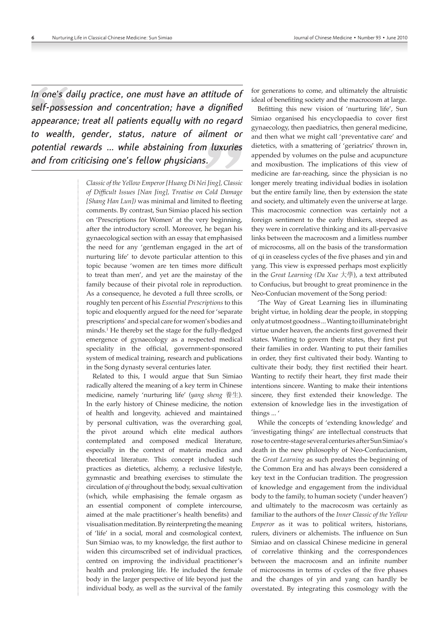*In one's daily practice, one must have an attitude of self-possession and concentration; have a dignified appearance; treat all patients equally with no regard to wealth, gender, status, nature of ailment or potential rewards ... while abstaining from luxuries and from criticising one's fellow physicians.*

> *Classic of the Yellow Emperor [Huang Di Nei Jing], Classic of Difficult Issues [Nan Jing], Treatise on Cold Damage [Shang Han Lun])* was minimal and limited to fleeting comments. By contrast, Sun Simiao placed his section on 'Prescriptions for Women' at the very beginning, after the introductory scroll. Moreover, he began his gynaecological section with an essay that emphasised the need for any 'gentleman engaged in the art of nurturing life' to devote particular attention to this topic because 'women are ten times more difficult to treat than men', and yet are the mainstay of the family because of their pivotal role in reproduction. As a consequence, he devoted a full three scrolls, or roughly ten percent of his *Essential Prescriptions* to this topic and eloquently argued for the need for 'separate prescriptions' and special care for women's bodies and minds.1 He thereby set the stage for the fully-fledged emergence of gynaecology as a respected medical speciality in the official, government-sponsored system of medical training, research and publications in the Song dynasty several centuries later.

> Related to this, I would argue that Sun Simiao radically altered the meaning of a key term in Chinese medicine, namely 'nurturing life' (*yang sheng* 養生). In the early history of Chinese medicine, the notion of health and longevity, achieved and maintained by personal cultivation, was the overarching goal, the pivot around which elite medical authors contemplated and composed medical literature, especially in the context of materia medica and theoretical literature. This concept included such practices as dietetics, alchemy, a reclusive lifestyle, gymnastic and breathing exercises to stimulate the circulation of *qi* throughout the body, sexual cultivation (which, while emphasising the female orgasm as an essential component of complete intercourse, aimed at the male practitioner's health benefits) and visualisation meditation. By reinterpreting the meaning of 'life' in a social, moral and cosmological context, Sun Simiao was, to my knowledge, the first author to widen this circumscribed set of individual practices, centred on improving the individual practitioner's health and prolonging life. He included the female body in the larger perspective of life beyond just the individual body, as well as the survival of the family

for generations to come, and ultimately the altruistic ideal of benefiting society and the macrocosm at large.

Befitting this new vision of 'nurturing life', Sun Simiao organised his encyclopaedia to cover first gynaecology, then paediatrics, then general medicine, and then what we might call 'preventative care' and dietetics, with a smattering of 'geriatrics' thrown in, appended by volumes on the pulse and acupuncture and moxibustion. The implications of this view of medicine are far-reaching, since the physician is no longer merely treating individual bodies in isolation but the entire family line, then by extension the state and society, and ultimately even the universe at large. This macrocosmic connection was certainly not a foreign sentiment to the early thinkers, steeped as they were in correlative thinking and its all-pervasive links between the macrocosm and a limitless number of microcosms, all on the basis of the transformation of qi in ceaseless cycles of the five phases and yin and yang. This view is expressed perhaps most explicitly in the *Great Learning (Da Xue* 大學), a text attributed to Confucius, but brought to great prominence in the Neo-Confucian movement of the Song period:

'The Way of Great Learning lies in illuminating bright virtue, in holding dear the people, in stopping only at utmost goodness ... Wanting to illuminate bright virtue under heaven, the ancients first governed their states. Wanting to govern their states, they first put their families in order. Wanting to put their families in order, they first cultivated their body. Wanting to cultivate their body, they first rectified their heart. Wanting to rectify their heart, they first made their intentions sincere. Wanting to make their intentions sincere, they first extended their knowledge. The extension of knowledge lies in the investigation of things ... '

While the concepts of 'extending knowledge' and 'investigating things' are intellectual constructs that rose to centre-stage several centuries after Sun Simiao's death in the new philosophy of Neo-Confucianism, the *Great Learning* as such predates the beginning of the Common Era and has always been considered a key text in the Confucian tradition. The progression of knowledge and engagement from the individual body to the family, to human society ('under heaven') and ultimately to the macrocosm was certainly as familiar to the authors of the *Inner Classic of the Yellow Emperor* as it was to political writers, historians, rulers, diviners or alchemists. The influence on Sun Simiao and on classical Chinese medicine in general of correlative thinking and the correspondences between the macrocosm and an infinite number of microcosms in terms of cycles of the five phases and the changes of yin and yang can hardly be overstated. By integrating this cosmology with the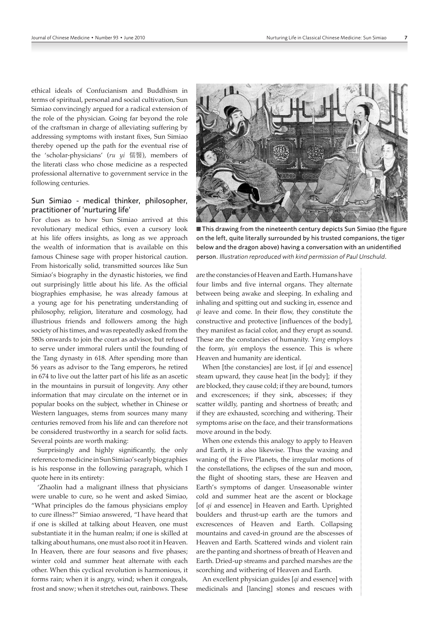ethical ideals of Confucianism and Buddhism in terms of spiritual, personal and social cultivation, Sun Simiao convincingly argued for a radical extension of the role of the physician. Going far beyond the role of the craftsman in charge of alleviating suffering by addressing symptoms with instant fixes, Sun Simiao thereby opened up the path for the eventual rise of the 'scholar-physicians' (*ru yi* 儒醫), members of the literati class who chose medicine as a respected professional alternative to government service in the following centuries.

# Sun Simiao - medical thinker, philosopher, practitioner of 'nurturing life'

For clues as to how Sun Simiao arrived at this revolutionary medical ethics, even a cursory look at his life offers insights, as long as we approach the wealth of information that is available on this famous Chinese sage with proper historical caution. From historically solid, transmitted sources like Sun Simiao's biography in the dynastic histories, we find out surprisingly little about his life. As the official biographies emphasise, he was already famous at a young age for his penetrating understanding of philosophy, religion, literature and cosmology, had illustrious friends and followers among the high society of his times, and was repeatedly asked from the 580s onwards to join the court as advisor, but refused to serve under immoral rulers until the founding of the Tang dynasty in 618. After spending more than 56 years as advisor to the Tang emperors, he retired in 674 to live out the latter part of his life as an ascetic in the mountains in pursuit of longevity. Any other information that may circulate on the internet or in popular books on the subject, whether in Chinese or Western languages, stems from sources many many centuries removed from his life and can therefore not be considered trustworthy in a search for solid facts. Several points are worth making:

Surprisingly and highly significantly, the only reference to medicine in Sun Simiao's early biographies is his response in the following paragraph, which I quote here in its entirety:

'Zhaolin had a malignant illness that physicians were unable to cure, so he went and asked Simiao, "What principles do the famous physicians employ to cure illness?" Simiao answered, "I have heard that if one is skilled at talking about Heaven, one must substantiate it in the human realm; if one is skilled at talking about humans, one must also root it in Heaven. In Heaven, there are four seasons and five phases; winter cold and summer heat alternate with each other. When this cyclical revolution is harmonious, it forms rain; when it is angry, wind; when it congeals, frost and snow; when it stretches out, rainbows. These



■ This drawing from the nineteenth century depicts Sun Simiao (the figure on the left, quite literally surrounded by his trusted companions, the tiger below and the dragon above) having a conversation with an unidentified person. *Illustration reproduced with kind permission of Paul Unschuld*.

are the constancies of Heaven and Earth. Humans have four limbs and five internal organs. They alternate between being awake and sleeping. In exhaling and inhaling and spitting out and sucking in, essence and *qi* leave and come. In their flow, they constitute the constructive and protective [influences of the body], they manifest as facial color, and they erupt as sound. These are the constancies of humanity. *Yang* employs the form, *yin* employs the essence. This is where Heaven and humanity are identical.

When [the constancies] are lost, if [*qi* and essence] steam upward, they cause heat [in the body]; if they are blocked, they cause cold; if they are bound, tumors and excrescences; if they sink, abscesses; if they scatter wildly, panting and shortness of breath; and if they are exhausted, scorching and withering. Their symptoms arise on the face, and their transformations move around in the body.

When one extends this analogy to apply to Heaven and Earth, it is also likewise. Thus the waxing and waning of the Five Planets, the irregular motions of the constellations, the eclipses of the sun and moon, the flight of shooting stars, these are Heaven and Earth's symptoms of danger. Unseasonable winter cold and summer heat are the ascent or blockage [of *qi* and essence] in Heaven and Earth. Uprighted boulders and thrust-up earth are the tumors and excrescences of Heaven and Earth. Collapsing mountains and caved-in ground are the abscesses of Heaven and Earth. Scattered winds and violent rain are the panting and shortness of breath of Heaven and Earth. Dried-up streams and parched marshes are the scorching and withering of Heaven and Earth.

An excellent physician guides [*qi* and essence] with medicinals and [lancing] stones and rescues with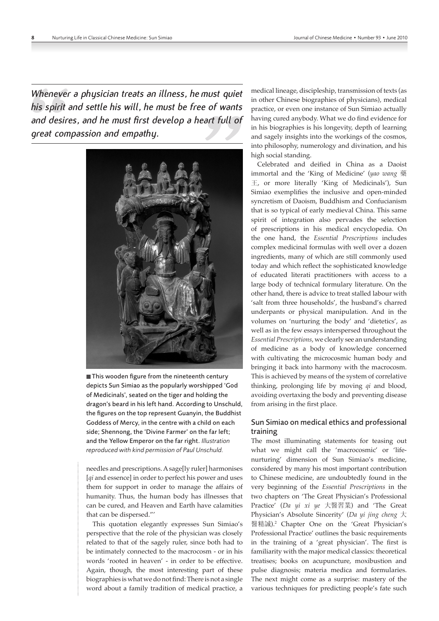*Whenever a physician treats an illness, hemust quiet his spirit and settle his will, he must be free of wants and desires, and he must first develop a heart full of great compassion and empathy.*



■ This wooden figure from the nineteenth century depicts Sun Simiao as the popularly worshipped 'God of Medicinals', seated on the tiger and holding the dragon's beard in his left hand. According to Unschuld, the figures on the top represent Guanyin, the Buddhist Goddess of Mercy, in the centre with a child on each side; Shennong, the 'Divine Farmer' on the far left; and the Yellow Emperor on the far right. *Illustration reproduced with kind permission of Paul Unschuld.*

needles and prescriptions. A sage[ly ruler] harmonises [*qi* and essence] in order to perfect his power and uses them for support in order to manage the affairs of humanity. Thus, the human body has illnesses that can be cured, and Heaven and Earth have calamities that can be dispersed."'

This quotation elegantly expresses Sun Simiao's perspective that the role of the physician was closely related to that of the sagely ruler, since both had to be intimately connected to the macrocosm - or in his words 'rooted in heaven' - in order to be effective. Again, though, the most interesting part of these biographies is what we do not find: There is not a single word about a family tradition of medical practice, a

medical lineage, discipleship, transmission of texts (as in other Chinese biographies of physicians), medical practice, or even one instance of Sun Simiao actually having cured anybody. What we do find evidence for in his biographies is his longevity, depth of learning and sagely insights into the workings of the cosmos, into philosophy, numerology and divination, and his high social standing.

Celebrated and deified in China as a Daoist immortal and the 'King of Medicine' (*yao wang* 藥 王, or more literally 'King of Medicinals'), Sun Simiao exemplifies the inclusive and open-minded syncretism of Daoism, Buddhism and Confucianism that is so typical of early medieval China. This same spirit of integration also pervades the selection of prescriptions in his medical encyclopedia. On the one hand, the *Essential Prescriptions* includes complex medicinal formulas with well over a dozen ingredients, many of which are still commonly used today and which reflect the sophisticated knowledge of educated literati practitioners with access to a large body of technical formulary literature. On the other hand, there is advice to treat stalled labour with 'salt from three households', the husband's charred underpants or physical manipulation. And in the volumes on 'nurturing the body' and 'dietetics', as well as in the few essays interspersed throughout the *Essential Prescriptions*, we clearly see an understanding of medicine as a body of knowledge concerned with cultivating the microcosmic human body and bringing it back into harmony with the macrocosm. This is achieved by means of the system of correlative thinking, prolonging life by moving *qi* and blood, avoiding overtaxing the body and preventing disease from arising in the first place.

# Sun Simiao on medical ethics and professional training

The most illuminating statements for teasing out what we might call the 'macrocosmic' or 'lifenurturing' dimension of Sun Simiao's medicine, considered by many his most important contribution to Chinese medicine, are undoubtedly found in the very beginning of the *Essential Prescriptions* in the two chapters on 'The Great Physician's Professional Practice' (*Da yi xi ye* 大醫習業) and 'The Great Physician's Absolute Sincerity' (*Da yi jing cheng* 大 醫精誠).<sup>2</sup> Chapter One on the 'Great Physician's Professional Practice' outlines the basic requirements in the training of a 'great physician'. The first is familiarity with the major medical classics: theoretical treatises; books on acupuncture, moxibustion and pulse diagnosis; materia medica and formularies. The next might come as a surprise: mastery of the various techniques for predicting people's fate such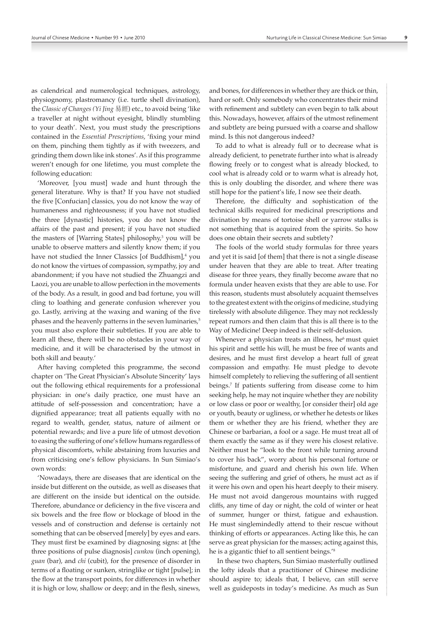as calendrical and numerological techniques, astrology, physiognomy, plastromancy (i.e. turtle shell divination), the *Classic of Changes (Yi Jing* 易經) etc., to avoid being 'like a traveller at night without eyesight, blindly stumbling to your death'. Next, you must study the prescriptions contained in the *Essential Prescriptions*, 'fixing your mind on them, pinching them tightly as if with tweezers, and grinding them down like ink stones'. As if this programme weren't enough for one lifetime, you must complete the following education:

'Moreover, [you must] wade and hunt through the general literature. Why is that? If you have not studied the five [Confucian] classics, you do not know the way of humaneness and righteousness; if you have not studied the three [dynastic] histories, you do not know the affairs of the past and present; if you have not studied the masters of [Warring States] philosophy,<sup>3</sup> you will be unable to observe matters and silently know them; if you have not studied the Inner Classics [of Buddhism],<sup>4</sup> you do not know the virtues of compassion, sympathy, joy and abandonment; if you have not studied the Zhuangzi and Laozi, you are unable to allow perfection in the movements of the body. As a result, in good and bad fortune, you will cling to loathing and generate confusion wherever you go. Lastly, arriving at the waxing and waning of the five phases and the heavenly patterns in the seven luminaries,<sup>5</sup> you must also explore their subtleties. If you are able to learn all these, there will be no obstacles in your way of medicine, and it will be characterised by the utmost in both skill and beauty.'

After having completed this programme, the second chapter on 'The Great Physician's Absolute Sincerity' lays out the following ethical requirements for a professional physician: in one's daily practice, one must have an attitude of self-possession and concentration; have a dignified appearance; treat all patients equally with no regard to wealth, gender, status, nature of ailment or potential rewards; and live a pure life of utmost devotion to easing the suffering of one's fellow humans regardless of physical discomforts, while abstaining from luxuries and from criticising one's fellow physicians. In Sun Simiao's own words:

'Nowadays, there are diseases that are identical on the inside but different on the outside, as well as diseases that are different on the inside but identical on the outside. Therefore, abundance or deficiency in the five viscera and six bowels and the free flow or blockage of blood in the vessels and of construction and defense is certainly not something that can be observed [merely] by eyes and ears. They must first be examined by diagnosing signs: at [the three positions of pulse diagnosis] *cunkou* (inch opening), *guan* (bar), and *chi* (cubit), for the presence of disorder in terms of a floating or sunken, stringlike or tight [pulse]; in the flow at the transport points, for differences in whether it is high or low, shallow or deep; and in the flesh, sinews,

and bones, for differences in whether they are thick or thin, hard or soft. Only somebody who concentrates their mind with refinement and subtlety can even begin to talk about this. Nowadays, however, affairs of the utmost refinement and subtlety are being pursued with a coarse and shallow mind. Is this not dangerous indeed?

To add to what is already full or to decrease what is already deficient, to penetrate further into what is already flowing freely or to congest what is already blocked, to cool what is already cold or to warm what is already hot, this is only doubling the disorder, and where there was still hope for the patient's life, I now see their death.

Therefore, the difficulty and sophistication of the technical skills required for medicinal prescriptions and divination by means of tortoise shell or yarrow stalks is not something that is acquired from the spirits. So how does one obtain their secrets and subtlety?

The fools of the world study formulas for three years and yet it is said [of them] that there is not a single disease under heaven that they are able to treat. After treating disease for three years, they finally become aware that no formula under heaven exists that they are able to use. For this reason, students must absolutely acquaint themselves to the greatest extent with the origins of medicine, studying tirelessly with absolute diligence. They may not recklessly repeat rumors and then claim that this is all there is to the Way of Medicine! Deep indeed is their self-delusion.

Whenever a physician treats an illness, he<sup>6</sup> must quiet his spirit and settle his will, he must be free of wants and desires, and he must first develop a heart full of great compassion and empathy. He must pledge to devote himself completely to relieving the suffering of all sentient beings.7 If patients suffering from disease come to him seeking help, he may not inquire whether they are nobility or low class or poor or wealthy, [or consider their] old age or youth, beauty or ugliness, or whether he detests or likes them or whether they are his friend, whether they are Chinese or barbarian, a fool or a sage. He must treat all of them exactly the same as if they were his closest relative. Neither must he "look to the front while turning around to cover his back", worry about his personal fortune or misfortune, and guard and cherish his own life. When seeing the suffering and grief of others, he must act as if it were his own and open his heart deeply to their misery. He must not avoid dangerous mountains with rugged cliffs, any time of day or night, the cold of winter or heat of summer, hunger or thirst, fatigue and exhaustion. He must singlemindedly attend to their rescue without thinking of efforts or appearances. Acting like this, he can serve as great physician for the masses; acting against this, he is a gigantic thief to all sentient beings.'<sup>8</sup>

 In these two chapters, Sun Simiao masterfully outlined the lofty ideals that a practitioner of Chinese medicine should aspire to; ideals that, I believe, can still serve well as guideposts in today's medicine. As much as Sun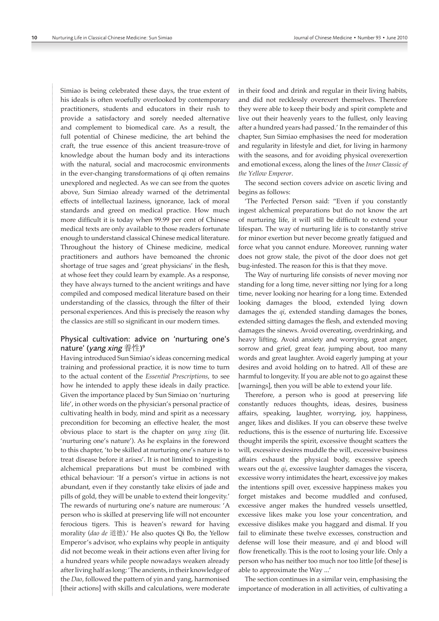Simiao is being celebrated these days, the true extent of his ideals is often woefully overlooked by contemporary practitioners, students and educators in their rush to provide a satisfactory and sorely needed alternative and complement to biomedical care. As a result, the full potential of Chinese medicine, the art behind the craft, the true essence of this ancient treasure-trove of knowledge about the human body and its interactions with the natural, social and macrocosmic environments in the ever-changing transformations of qi often remains unexplored and neglected. As we can see from the quotes above, Sun Simiao already warned of the detrimental effects of intellectual laziness, ignorance, lack of moral standards and greed on medical practice. How much more difficult it is today when 99.99 per cent of Chinese medical texts are only available to those readers fortunate enough to understand classical Chinese medical literature. Throughout the history of Chinese medicine, medical practitioners and authors have bemoaned the chronic shortage of true sages and 'great physicians' in the flesh, at whose feet they could learn by example. As a response, they have always turned to the ancient writings and have compiled and composed medical literature based on their understanding of the classics, through the filter of their personal experiences. And this is precisely the reason why the classics are still so significant in our modern times.

## Physical cultivation: advice on 'nurturing one's nature' (*yang xing* 養性)°

Having introduced Sun Simiao's ideas concerning medical training and professional practice, it is now time to turn to the actual content of the *Essential Prescriptions*, to see how he intended to apply these ideals in daily practice. Given the importance placed by Sun Simiao on 'nurturing life', in other words on the physician's personal practice of cultivating health in body, mind and spirit as a necessary precondition for becoming an effective healer, the most obvious place to start is the chapter on *yang xing* (lit. 'nurturing one's nature'). As he explains in the foreword to this chapter, 'to be skilled at nurturing one's nature is to treat disease before it arises'. It is not limited to ingesting alchemical preparations but must be combined with ethical behaviour: 'If a person's virtue in actions is not abundant, even if they constantly take elixirs of jade and pills of gold, they will be unable to extend their longevity.' The rewards of nurturing one's nature are numerous: 'A person who is skilled at preserving life will not encounter ferocious tigers. This is heaven's reward for having morality (*dao de* 道德).' He also quotes Qi Bo, the Yellow Emperor's advisor, who explains why people in antiquity did not become weak in their actions even after living for a hundred years while people nowadays weaken already after living half as long: 'The ancients, in their knowledge of the *Dao*, followed the pattern of yin and yang, harmonised [their actions] with skills and calculations, were moderate

in their food and drink and regular in their living habits, and did not recklessly overexert themselves. Therefore they were able to keep their body and spirit complete and live out their heavenly years to the fullest, only leaving after a hundred years had passed.' In the remainder of this chapter, Sun Simiao emphasises the need for moderation and regularity in lifestyle and diet, for living in harmony with the seasons, and for avoiding physical overexertion and emotional excess, along the lines of the *Inner Classic of the Yellow Emperor*.

The second section covers advice on ascetic living and begins as follows:

'The Perfected Person said: "Even if you constantly ingest alchemical preparations but do not know the art of nurturing life, it will still be difficult to extend your lifespan. The way of nurturing life is to constantly strive for minor exertion but never become greatly fatigued and force what you cannot endure. Moreover, running water does not grow stale, the pivot of the door does not get bug-infested. The reason for this is that they move.

The Way of nurturing life consists of never moving nor standing for a long time, never sitting nor lying for a long time, never looking nor hearing for a long time. Extended looking damages the blood, extended lying down damages the *qi*, extended standing damages the bones, extended sitting damages the flesh, and extended moving damages the sinews. Avoid overeating, overdrinking, and heavy lifting. Avoid anxiety and worrying, great anger, sorrow and grief, great fear, jumping about, too many words and great laughter. Avoid eagerly jumping at your desires and avoid holding on to hatred. All of these are harmful to longevity. If you are able not to go against these [warnings], then you will be able to extend your life.

Therefore, a person who is good at preserving life constantly reduces thoughts, ideas, desires, business affairs, speaking, laughter, worrying, joy, happiness, anger, likes and dislikes. If you can observe these twelve reductions, this is the essence of nurturing life. Excessive thought imperils the spirit, excessive thought scatters the will, excessive desires muddle the will, excessive business affairs exhaust the physical body, excessive speech wears out the *qi*, excessive laughter damages the viscera, excessive worry intimidates the heart, excessive joy makes the intentions spill over, excessive happiness makes you forget mistakes and become muddled and confused, excessive anger makes the hundred vessels unsettled, excessive likes make you lose your concentration, and excessive dislikes make you haggard and dismal. If you fail to eliminate these twelve excesses, construction and defense will lose their measure, and *qi* and blood will flow frenetically. This is the root to losing your life. Only a person who has neither too much nor too little [of these] is able to approximate the Way ...'

The section continues in a similar vein, emphasising the importance of moderation in all activities, of cultivating a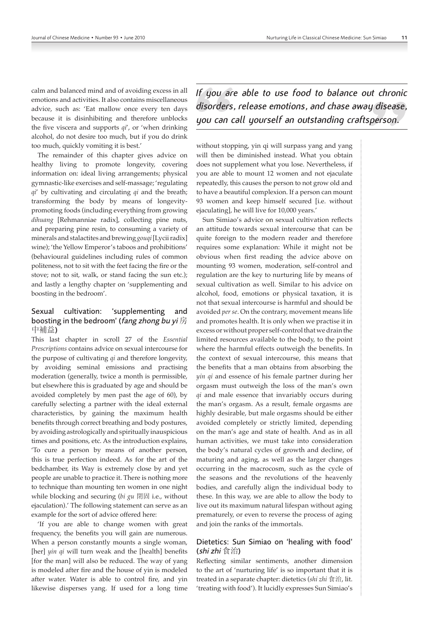calm and balanced mind and of avoiding excess in all emotions and activities. It also contains miscellaneous advice, such as: 'Eat mallow once every ten days because it is disinhibiting and therefore unblocks the five viscera and supports *qi*', or 'when drinking alcohol, do not desire too much, but if you do drink too much, quickly vomiting it is best.'

The remainder of this chapter gives advice on healthy living to promote longevity, covering information on: ideal living arrangements; physical gymnastic-like exercises and self-massage; 'regulating *qi*' by cultivating and circulating *qi* and the breath; transforming the body by means of longevitypromoting foods (including everything from growing *dihuang* [Rehmanniae radix], collecting pine nuts, and preparing pine resin, to consuming a variety of minerals and stalactites and brewing *gouqi* [Lycii radix] wine); 'the Yellow Emperor's taboos and prohibitions' (behavioural guidelines including rules of common politeness, not to sit with the feet facing the fire or the stove; not to sit, walk, or stand facing the sun etc.); and lastly a lengthy chapter on 'supplementing and boosting in the bedroom'.

# Sexual cultivation: 'supplementing and boosting in the bedroom' (fang zhong bu yi 房 中補益)

This last chapter in scroll 27 of the *Essential Prescriptions* contains advice on sexual intercourse for the purpose of cultivating *qi* and therefore longevity, by avoiding seminal emissions and practising moderation (generally, twice a month is permissible, but elsewhere this is graduated by age and should be avoided completely by men past the age of 60), by carefully selecting a partner with the ideal external characteristics, by gaining the maximum health benefits through correct breathing and body postures, by avoiding astrologically and spiritually inauspicious times and positions, etc. As the introduction explains, 'To cure a person by means of another person, this is true perfection indeed. As for the art of the bedchamber, its Way is extremely close by and yet people are unable to practice it. There is nothing more to technique than mounting ten women in one night while blocking and securing (*bi gu* 閉固 i.e., without ejaculation).' The following statement can serve as an example for the sort of advice offered here:

'If you are able to change women with great frequency, the benefits you will gain are numerous. When a person constantly mounts a single woman, [her] *yin qi* will turn weak and the [health] benefits [for the man] will also be reduced. The way of yang is modeled after fire and the house of yin is modeled after water. Water is able to control fire, and yin likewise disperses yang. If used for a long time *If you are able to use food to balance out chronic disorders, release emotions, and chase away disease, you can call yourself an outstanding craftsperson.*

without stopping, yin qi will surpass yang and yang will then be diminished instead. What you obtain does not supplement what you lose. Nevertheless, if you are able to mount 12 women and not ejaculate repeatedly, this causes the person to not grow old and to have a beautiful complexion. If a person can mount 93 women and keep himself secured [i.e. without ejaculating], he will live for 10,000 years.'

Sun Simiao's advice on sexual cultivation reflects an attitude towards sexual intercourse that can be quite foreign to the modern reader and therefore requires some explanation: While it might not be obvious when first reading the advice above on mounting 93 women, moderation, self-control and regulation are the key to nurturing life by means of sexual cultivation as well. Similar to his advice on alcohol, food, emotions or physical taxation, it is not that sexual intercourse is harmful and should be avoided *per se*. On the contrary, movement means life and promotes health. It is only when we practise it in excess or without proper self-control that we drain the limited resources available to the body, to the point where the harmful effects outweigh the benefits. In the context of sexual intercourse, this means that the benefits that a man obtains from absorbing the *yin qi* and essence of his female partner during her orgasm must outweigh the loss of the man's own *qi* and male essence that invariably occurs during the man's orgasm. As a result, female orgasms are highly desirable, but male orgasms should be either avoided completely or strictly limited, depending on the man's age and state of health. And as in all human activities, we must take into consideration the body's natural cycles of growth and decline, of maturing and aging, as well as the larger changes occurring in the macrocosm, such as the cycle of the seasons and the revolutions of the heavenly bodies, and carefully align the individual body to these. In this way, we are able to allow the body to live out its maximum natural lifespan without aging prematurely, or even to reverse the process of aging and join the ranks of the immortals.

#### Dietetics: Sun Simiao on 'healing with food' (shi zhi 食治)

Reflecting similar sentiments, another dimension to the art of 'nurturing life' is so important that it is treated in a separate chapter: dietetics (*shi zhi* 食治, lit. 'treating with food'). It lucidly expresses Sun Simiao's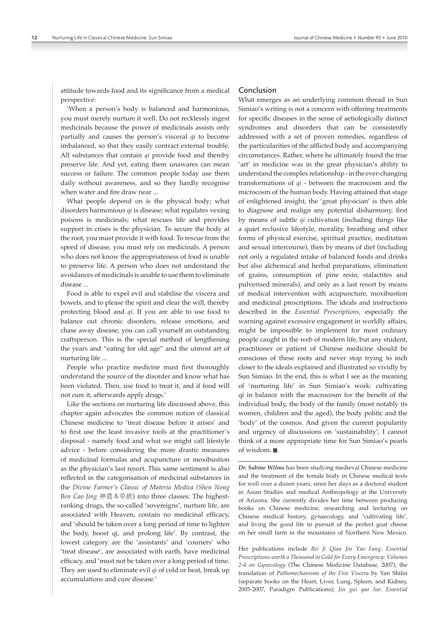attitude towards food and its significance from a medical perspective:

'When a person's body is balanced and harmonious, you must merely nurture it well. Do not recklessly ingest medicinals because the power of medicinals assists only partially and causes the person's visceral *qi* to become imbalanced, so that they easily contract external trouble. All substances that contain *qi* provide food and thereby preserve life. And yet, eating them unawares can mean success or failure. The common people today use them daily without awareness, and so they hardly recognise when water and fire draw near ...

What people depend on is the physical body; what disorders harmonious *qi* is disease; what regulates vexing poisons is medicinals; what rescues life and provides support in crises is the physician. To secure the body at the root, you must provide it with food. To rescue from the speed of disease, you must rely on medicinals. A person who does not know the appropriateness of food is unable to preserve life. A person who does not understand the avoidances of medicinals is unable to use them to eliminate disease ...

Food is able to expel evil and stabilise the viscera and bowels, and to please the spirit and clear the will, thereby protecting blood and *qi*. If you are able to use food to balance out chronic disorders, release emotions, and chase away disease, you can call yourself an outstanding craftsperson. This is the special method of lengthening the years and "eating for old age" and the utmost art of nurturing life ...

People who practice medicine must first thoroughly understand the source of the disorder and know what has been violated. Then, use food to treat it, and if food will not cure it, afterwards apply drugs.'

Like the sections on nurturing life discussed above, this chapter again advocates the common notion of classical Chinese medicine to 'treat disease before it arises' and to first use the least invasive tools at the practitioner's disposal - namely food and what we might call lifestyle advice - before considering the more drastic measures of medicinal formulas and acupuncture or moxibustion as the physician's last resort. This same sentiment is also reflected in the categorisation of medicinal substances in the *Divine Farmer's Classic of Materia Medica (Shen Nong Ben Cao Jing* 神農本草經) into three classes: The highestranking drugs, the so-called 'sovereigns', nurture life, are associated with Heaven, contain no medicinal efficacy, and 'should be taken over a long period of time to lighten the body, boost qi, and prolong life'. By contrast, the lowest category are the 'assistants' and 'couriers' who 'treat disease', are associated with earth, have medicinal efficacy, and 'must not be taken over a long period of time. They are used to eliminate evil *qi* of cold or heat, break up accumulations and cure disease.'

#### Conclusion

What emerges as an underlying common thread in Sun Simiao's writing is not a concern with offering treatments for specific diseases in the sense of aetiologically distinct syndromes and disorders that can be consistently addressed with a set of proven remedies, regardless of the particularities of the afflicted body and accompanying circumstances. Rather, where he ultimately found the true 'art' in medicine was in the great physician's ability to understand the complex relationship - in the ever-changing transformations of *qi* - between the macrocosm and the microcosm of the human body. Having attained that stage of enlightened insight, the 'great physician' is then able to diagnose and realign any potential disharmony, first by means of subtle *qi* cultivation (including things like a quiet reclusive lifestyle, morality, breathing and other forms of physical exercise, spiritual practice, meditation and sexual intercourse), then by means of diet (including not only a regulated intake of balanced foods and drinks but also alchemical and herbal preparations, elimination of grains, consumption of pine resin, stalactites and pulverised minerals), and only as a last resort by means of medical intervention with acupuncture, moxibustion and medicinal prescriptions. The ideals and instructions described in the *Essential Prescriptions*, especially the warning against excessive engagement in worldly affairs, might be impossible to implement for most ordinary people caught in the web of modern life, but any student, practitioner or patient of Chinese medicine should be conscious of these roots and never stop trying to inch closer to the ideals explained and illustrated so vividly by Sun Simiao. In the end, this is what I see as the meaning of 'nurturing life' in Sun Simiao's work: cultivating qi in balance with the macrocosm for the benefit of the individual body, the body of the family (most notably its women, children and the aged), the body politic and the 'body' of the cosmos. And given the current popularity and urgency of discussions on 'sustainability', I cannot think of a more appropriate time for Sun Simiao's pearls of wisdom.

*Dr. Sabine Wilms* has been studying medieval Chinese medicine and the treatment of the female body in Chinese medical texts for well over a dozen years, since her days as a doctoral student in Asian Studies and medical Anthropology at the University of Arizona. She currently divides her time between producing books on Chinese medicine, researching and lecturing on Chinese medical history, gynaecology, and 'cultivating life', and living the good life in pursuit of the perfect goat cheese on her small farm in the mountains of Northern New Mexico.

Her publications include *Bei Ji Qian Jin Yao Fang, Essential Prescriptions worth a Thousand in Gold for Every Emergency: Volumes 2-4 on Gynecology* (The Chinese Medicine Database, 2007); the translation of *Pathomechanisms of the Five Viscera* by Yan Shilin (separate books on the Heart, Liver, Lung, Spleen, and Kidney, 2005-2007, Paradigm Publications); *Jin gui yao lue*: *Essential*